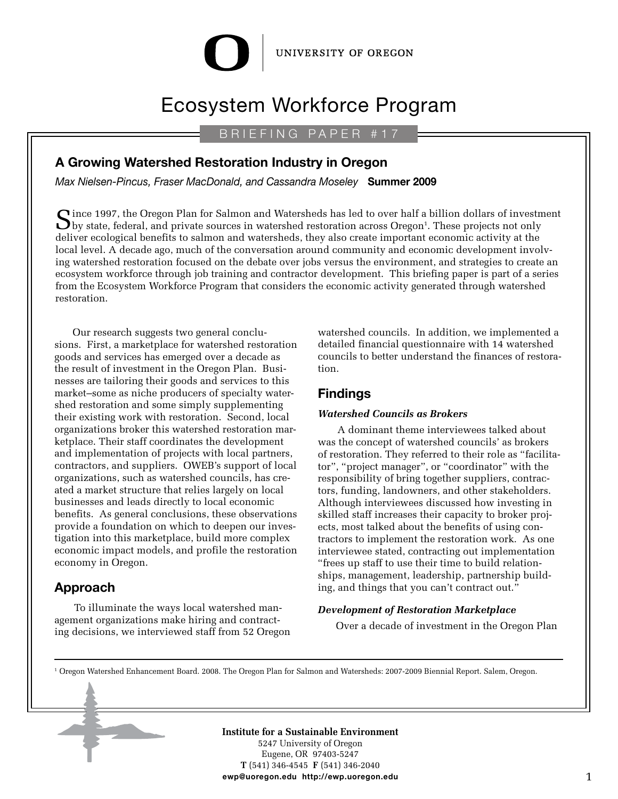#### UNIVERSITY OF OREGON

# Ecosystem Workforce Program

## B R I E F I N G P A P E R # 1 7

## **A Growing Watershed Restoration Industry in Oregon**

*Max Nielsen-Pincus, Fraser MacDonald, and Cassandra Moseley* **Summer 2009**

 $\bigcap$  ince 1997, the Oregon Plan for Salmon and Watersheds has led to over half a billion dollars of investment by state, federal, and private sources in watershed restoration across Oregon<sup>1</sup>. These projects not only deliver ecological benefits to salmon and watersheds, they also create important economic activity at the local level. A decade ago, much of the conversation around community and economic development involving watershed restoration focused on the debate over jobs versus the environment, and strategies to create an ecosystem workforce through job training and contractor development. This briefing paper is part of a series from the Ecosystem Workforce Program that considers the economic activity generated through watershed restoration.

Our research suggests two general conclusions. First, a marketplace for watershed restoration goods and services has emerged over a decade as the result of investment in the Oregon Plan. Businesses are tailoring their goods and services to this market–some as niche producers of specialty watershed restoration and some simply supplementing their existing work with restoration. Second, local organizations broker this watershed restoration marketplace. Their staff coordinates the development and implementation of projects with local partners, contractors, and suppliers. OWEB's support of local organizations, such as watershed councils, has created a market structure that relies largely on local businesses and leads directly to local economic benefits. As general conclusions, these observations provide a foundation on which to deepen our investigation into this marketplace, build more complex economic impact models, and profile the restoration economy in Oregon.

# **Approach**

 To illuminate the ways local watershed management organizations make hiring and contracting decisions, we interviewed staff from 52 Oregon watershed councils. In addition, we implemented a detailed financial questionnaire with 14 watershed councils to better understand the finances of restoration.

## **Findings**

#### *Watershed Councils as Brokers*

 A dominant theme interviewees talked about was the concept of watershed councils' as brokers of restoration. They referred to their role as "facilitator", "project manager", or "coordinator" with the responsibility of bring together suppliers, contractors, funding, landowners, and other stakeholders. Although interviewees discussed how investing in skilled staff increases their capacity to broker projects, most talked about the benefits of using contractors to implement the restoration work. As one interviewee stated, contracting out implementation "frees up staff to use their time to build relationships, management, leadership, partnership building, and things that you can't contract out."

#### *Development of Restoration Marketplace*

Over a decade of investment in the Oregon Plan

1 Oregon Watershed Enhancement Board. 2008. The Oregon Plan for Salmon and Watersheds: 2007-2009 Biennial Report. Salem, Oregon.